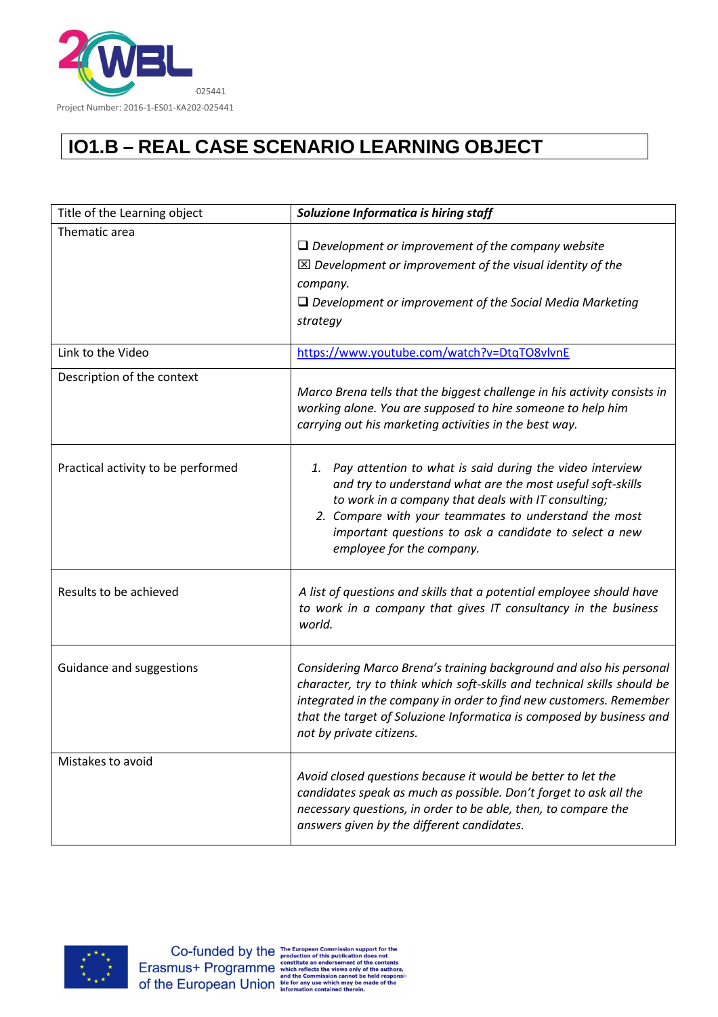

## **IO1.B – REAL CASE SCENARIO LEARNING OBJECT**

| Title of the Learning object       | Soluzione Informatica is hiring staff                                                                                                                                                                                                                                                                                               |
|------------------------------------|-------------------------------------------------------------------------------------------------------------------------------------------------------------------------------------------------------------------------------------------------------------------------------------------------------------------------------------|
| Thematic area                      | $\Box$ Development or improvement of the company website<br>$\boxtimes$ Development or improvement of the visual identity of the<br>company.<br>$\Box$ Development or improvement of the Social Media Marketing<br>strategy                                                                                                         |
| Link to the Video                  | https://www.youtube.com/watch?v=DtqTO8vlvnE                                                                                                                                                                                                                                                                                         |
| Description of the context         | Marco Brena tells that the biggest challenge in his activity consists in<br>working alone. You are supposed to hire someone to help him<br>carrying out his marketing activities in the best way.                                                                                                                                   |
| Practical activity to be performed | Pay attention to what is said during the video interview<br>1.<br>and try to understand what are the most useful soft-skills<br>to work in a company that deals with IT consulting;<br>2. Compare with your teammates to understand the most<br>important questions to ask a candidate to select a new<br>employee for the company. |
| Results to be achieved             | A list of questions and skills that a potential employee should have<br>to work in a company that gives IT consultancy in the business<br>world.                                                                                                                                                                                    |
| Guidance and suggestions           | Considering Marco Brena's training background and also his personal<br>character, try to think which soft-skills and technical skills should be<br>integrated in the company in order to find new customers. Remember<br>that the target of Soluzione Informatica is composed by business and<br>not by private citizens.           |
| Mistakes to avoid                  | Avoid closed questions because it would be better to let the<br>candidates speak as much as possible. Don't forget to ask all the<br>necessary questions, in order to be able, then, to compare the<br>answers given by the different candidates.                                                                                   |